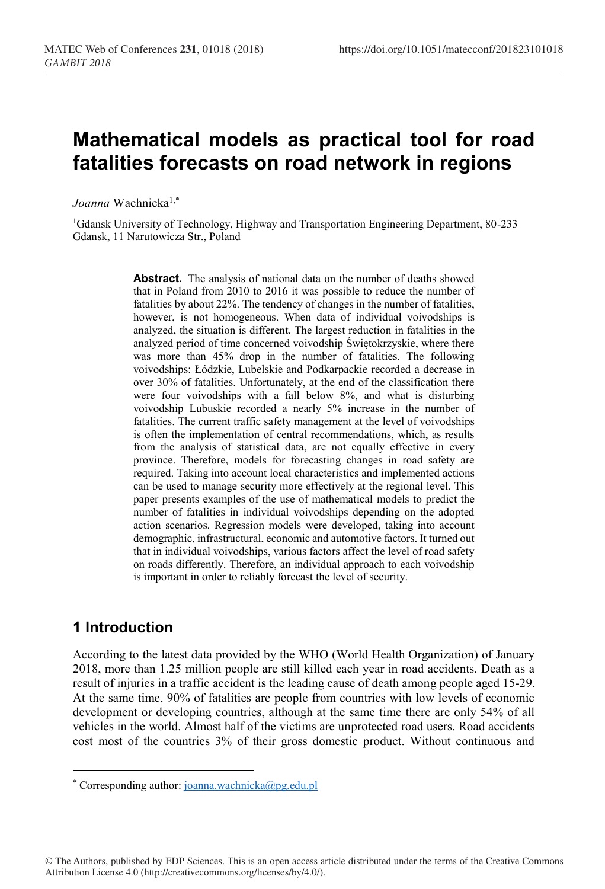# **Mathematical models as practical tool for road fatalities forecasts on road network in regions**

*Joanna* Wachnicka1,\*

1Gdansk University of Technology, Highway and Transportation Engineering Department, 80-233 Gdansk, 11 Narutowicza Str., Poland

> **Abstract.** The analysis of national data on the number of deaths showed that in Poland from 2010 to 2016 it was possible to reduce the number of fatalities by about 22%. The tendency of changes in the number of fatalities, however, is not homogeneous. When data of individual voivodships is analyzed, the situation is different. The largest reduction in fatalities in the analyzed period of time concerned voivodship Świętokrzyskie, where there was more than 45% drop in the number of fatalities. The following voivodships: Łódzkie, Lubelskie and Podkarpackie recorded a decrease in over 30% of fatalities. Unfortunately, at the end of the classification there were four voivodships with a fall below 8%, and what is disturbing voivodship Lubuskie recorded a nearly 5% increase in the number of fatalities. The current traffic safety management at the level of voivodships is often the implementation of central recommendations, which, as results from the analysis of statistical data, are not equally effective in every province. Therefore, models for forecasting changes in road safety are required. Taking into account local characteristics and implemented actions can be used to manage security more effectively at the regional level. This paper presents examples of the use of mathematical models to predict the number of fatalities in individual voivodships depending on the adopted action scenarios. Regression models were developed, taking into account demographic, infrastructural, economic and automotive factors. It turned out that in individual voivodships, various factors affect the level of road safety on roads differently. Therefore, an individual approach to each voivodship is important in order to reliably forecast the level of security.

### **1 Introduction**

According to the latest data provided by the WHO (World Health Organization) of January 2018, more than 1.25 million people are still killed each year in road accidents. Death as a result of injuries in a traffic accident is the leading cause of death among people aged 15-29. At the same time, 90% of fatalities are people from countries with low levels of economic development or developing countries, although at the same time there are only 54% of all vehicles in the world. Almost half of the victims are unprotected road users. Road accidents cost most of the countries 3% of their gross domestic product. Without continuous and

© The Authors, published by EDP Sciences. This is an open access article distributed under the terms of the Creative Commons Attribution License 4.0 (http://creativecommons.org/licenses/by/4.0/).

<sup>-</sup>\* Corresponding author: joanna.wachnicka@pg.edu.pl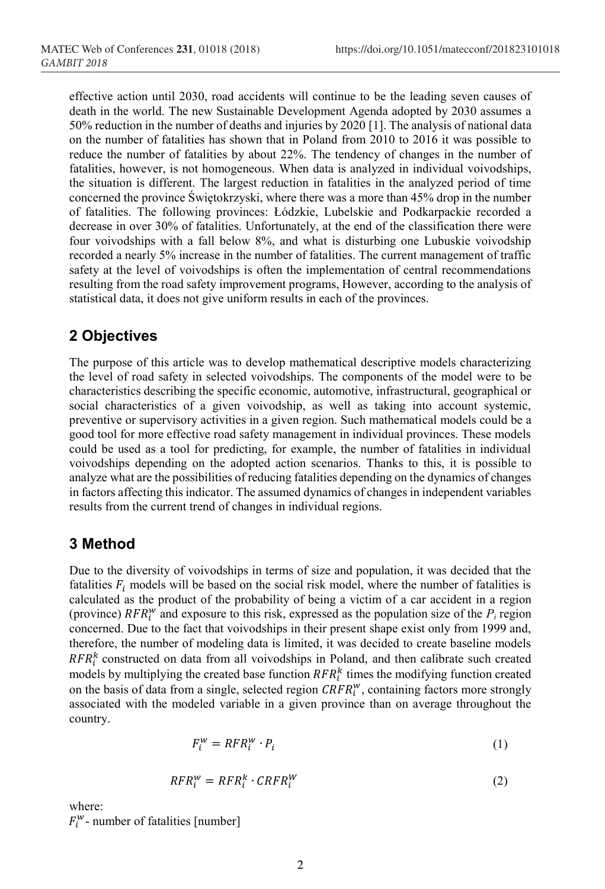effective action until 2030, road accidents will continue to be the leading seven causes of death in the world. The new Sustainable Development Agenda adopted by 2030 assumes a 50% reduction in the number of deaths and injuries by 2020 [1]. The analysis of national data on the number of fatalities has shown that in Poland from 2010 to 2016 it was possible to reduce the number of fatalities by about 22%. The tendency of changes in the number of fatalities, however, is not homogeneous. When data is analyzed in individual voivodships, the situation is different. The largest reduction in fatalities in the analyzed period of time concerned the province Świętokrzyski, where there was a more than 45% drop in the number of fatalities. The following provinces: Łódzkie, Lubelskie and Podkarpackie recorded a decrease in over 30% of fatalities. Unfortunately, at the end of the classification there were four voivodships with a fall below 8%, and what is disturbing one Lubuskie voivodship recorded a nearly 5% increase in the number of fatalities. The current management of traffic safety at the level of voivodships is often the implementation of central recommendations resulting from the road safety improvement programs, However, according to the analysis of statistical data, it does not give uniform results in each of the provinces.

### **2 Objectives**

The purpose of this article was to develop mathematical descriptive models characterizing the level of road safety in selected voivodships. The components of the model were to be characteristics describing the specific economic, automotive, infrastructural, geographical or social characteristics of a given voivodship, as well as taking into account systemic, preventive or supervisory activities in a given region. Such mathematical models could be a good tool for more effective road safety management in individual provinces. These models could be used as a tool for predicting, for example, the number of fatalities in individual voivodships depending on the adopted action scenarios. Thanks to this, it is possible to analyze what are the possibilities of reducing fatalities depending on the dynamics of changes in factors affecting this indicator. The assumed dynamics of changes in independent variables results from the current trend of changes in individual regions.

### **3 Method**

Due to the diversity of voivodships in terms of size and population, it was decided that the fatalities  $F_i$  models will be based on the social risk model, where the number of fatalities is calculated as the product of the probability of being a victim of a car accident in a region (province)  $RFR_i^w$  and exposure to this risk, expressed as the population size of the  $P_i$  region concerned. Due to the fact that voivodships in their present shape exist only from 1999 and, therefore, the number of modeling data is limited, it was decided to create baseline models  $RFR_i^k$  constructed on data from all voivodships in Poland, and then calibrate such created models by multiplying the created base function  $RFR_i^k$  times the modifying function created on the basis of data from a single, selected region  $CRFR_i^w$ , containing factors more strongly associated with the modeled variable in a given province than on average throughout the country.

$$
F_i^w = RFR_i^w \cdot P_i \tag{1}
$$

$$
RFR_i^w = RFR_i^k \cdot CRFR_i^W \tag{2}
$$

where:

 $F_i^{\mathsf{w}}$ - number of fatalities [number]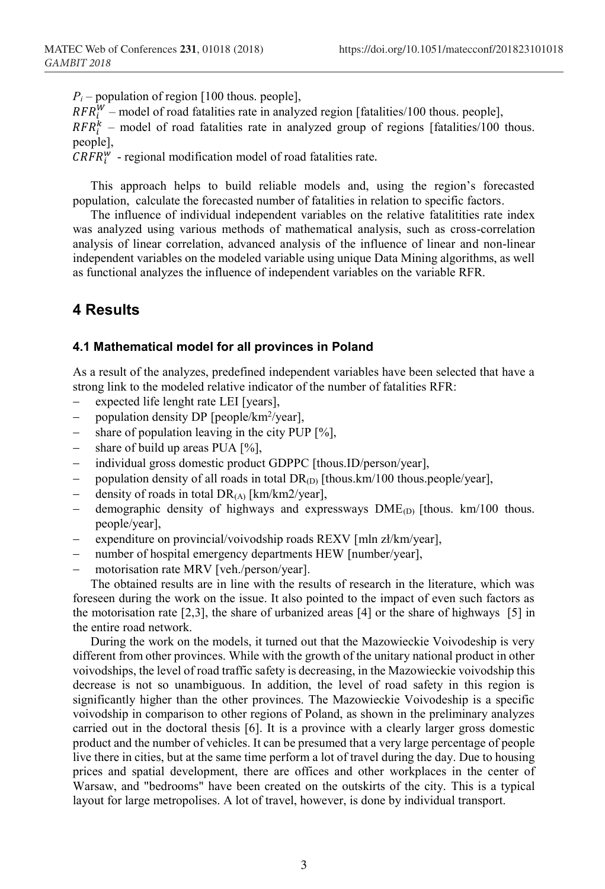$P_i$  – population of region [100 thous. people],

 $RFR_i^W$  – model of road fatalities rate in analyzed region [fatalities/100 thous. people],

 $RFR_i^k$  – model of road fatalities rate in analyzed group of regions [fatalities/100 thous. people],

 $CRFR_i^W$  - regional modification model of road fatalities rate.

This approach helps to build reliable models and, using the region's forecasted population, calculate the forecasted number of fatalities in relation to specific factors.

The influence of individual independent variables on the relative fatalitities rate index was analyzed using various methods of mathematical analysis, such as cross-correlation analysis of linear correlation, advanced analysis of the influence of linear and non-linear independent variables on the modeled variable using unique Data Mining algorithms, as well as functional analyzes the influence of independent variables on the variable RFR.

### **4 Results**

#### **4.1 Mathematical model for all provinces in Poland**

As a result of the analyzes, predefined independent variables have been selected that have a strong link to the modeled relative indicator of the number of fatalities RFR:

- expected life lenght rate LEI [years],
- − population density DP [people/km2 /year],
- share of population leaving in the city PUP  $[%]$ ,
- − share of build up areas PUA [%],
- − individual gross domestic product GDPPC [thous.ID/person/year],
- population density of all roads in total DR<sub>(D)</sub> [thous.km/100 thous.people/year],
- − density of roads in total DR(A) [km/km2/year],
- demographic density of highways and expressways DME<sub>(D)</sub> [thous. km/100 thous. people/year],
- − expenditure on provincial/voivodship roads REXV [mln zł/km/year],
- number of hospital emergency departments HEW [number/year],
- motorisation rate MRV [veh./person/year].

The obtained results are in line with the results of research in the literature, which was foreseen during the work on the issue. It also pointed to the impact of even such factors as the motorisation rate  $[2,3]$ , the share of urbanized areas  $[4]$  or the share of highways  $[5]$  in the entire road network.

During the work on the models, it turned out that the Mazowieckie Voivodeship is very different from other provinces. While with the growth of the unitary national product in other voivodships, the level of road traffic safety is decreasing, in the Mazowieckie voivodship this decrease is not so unambiguous. In addition, the level of road safety in this region is significantly higher than the other provinces. The Mazowieckie Voivodeship is a specific voivodship in comparison to other regions of Poland, as shown in the preliminary analyzes carried out in the doctoral thesis [6]. It is a province with a clearly larger gross domestic product and the number of vehicles. It can be presumed that a very large percentage of people live there in cities, but at the same time perform a lot of travel during the day. Due to housing prices and spatial development, there are offices and other workplaces in the center of Warsaw, and "bedrooms" have been created on the outskirts of the city. This is a typical layout for large metropolises. A lot of travel, however, is done by individual transport.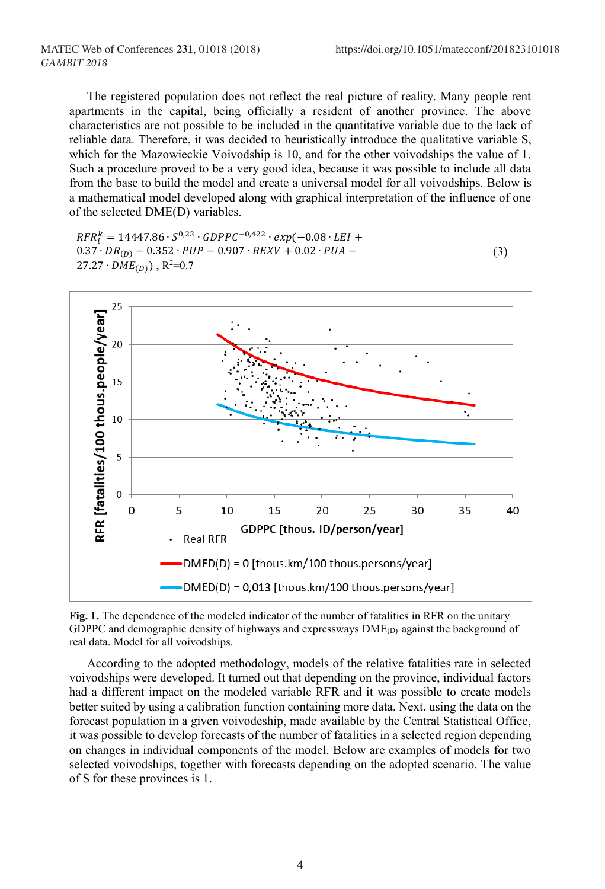The registered population does not reflect the real picture of reality. Many people rent apartments in the capital, being officially a resident of another province. The above characteristics are not possible to be included in the quantitative variable due to the lack of reliable data. Therefore, it was decided to heuristically introduce the qualitative variable S, which for the Mazowieckie Voivodship is 10, and for the other voivodships the value of 1. Such a procedure proved to be a very good idea, because it was possible to include all data from the base to build the model and create a universal model for all voivodships. Below is a mathematical model developed along with graphical interpretation of the influence of one of the selected DME(D) variables.

 $RFR_i^{\kappa} = 14447.86 \cdot S^{0.23} \cdot GDPPC^{-0.422} \cdot exp(-0.08 \cdot LEI +$  $0.37 \cdot DR_{(D)} - 0.352 \cdot PUP - 0.907 \cdot REXV + 0.02 \cdot PUA 27.27 \cdot DME_{(D)}$ , R<sup>2</sup>=0.7 (3)



**Fig. 1.** The dependence of the modeled indicator of the number of fatalities in RFR on the unitary GDPPC and demographic density of highways and expressways  $DME_{(D)}$  against the background of real data. Model for all voivodships.

According to the adopted methodology, models of the relative fatalities rate in selected voivodships were developed. It turned out that depending on the province, individual factors had a different impact on the modeled variable RFR and it was possible to create models better suited by using a calibration function containing more data. Next, using the data on the forecast population in a given voivodeship, made available by the Central Statistical Office, it was possible to develop forecasts of the number of fatalities in a selected region depending on changes in individual components of the model. Below are examples of models for two selected voivodships, together with forecasts depending on the adopted scenario. The value of S for these provinces is 1.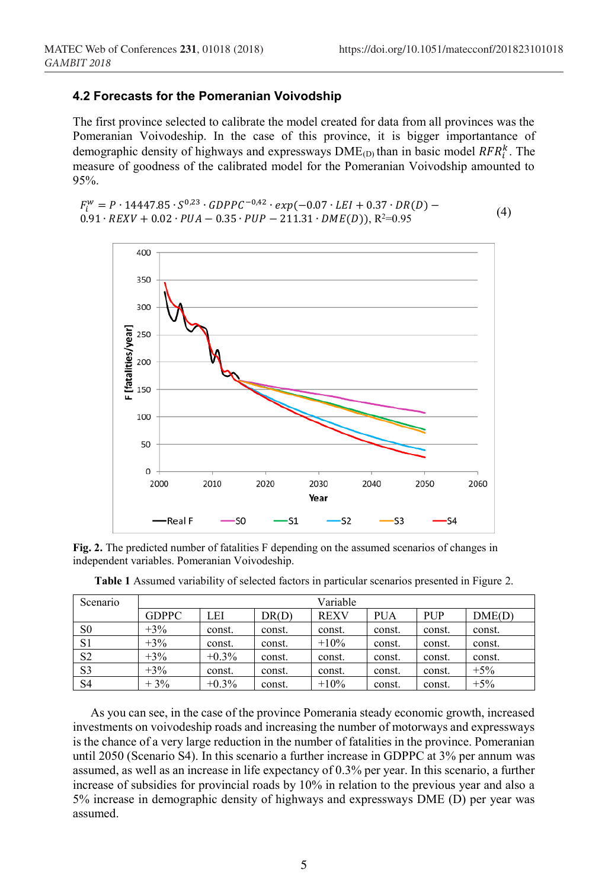#### **4.2 Forecasts for the Pomeranian Voivodship**

The first province selected to calibrate the model created for data from all provinces was the Pomeranian Voivodeship. In the case of this province, it is bigger importantance of demographic density of highways and expressways  $DME_{(D)}$  than in basic model  $RFR_i^k$ . The measure of goodness of the calibrated model for the Pomeranian Voivodship amounted to 95%.

$$
F_l^W = P \cdot 14447.85 \cdot S^{0.23} \cdot GDPPC^{-0.42} \cdot exp(-0.07 \cdot LEI + 0.37 \cdot DR(D) - 0.91 \cdot REXV + 0.02 \cdot PUA - 0.35 \cdot PUP - 211.31 \cdot DME(D)), R^2 = 0.95
$$
\n
$$
(4)
$$



**Fig. 2.** The predicted number of fatalities F depending on the assumed scenarios of changes in independent variables. Pomeranian Voivodeship.

| Scenario       | Variable     |         |        |             |            |            |        |  |  |  |  |
|----------------|--------------|---------|--------|-------------|------------|------------|--------|--|--|--|--|
|                | <b>GDPPC</b> | LEI     | DR(D)  | <b>REXV</b> | <b>PUA</b> | <b>PUP</b> | DME(D) |  |  |  |  |
| S <sub>0</sub> | $+3\%$       | const.  | const. | const.      | const.     | const.     | const. |  |  |  |  |
| S <sub>1</sub> | $+3\%$       | const.  | const. | $+10%$      | const.     | const.     | const. |  |  |  |  |
| S <sub>2</sub> | $+3\%$       | $+0.3%$ | const. | const.      | const.     | const.     | const. |  |  |  |  |
| S <sub>3</sub> | $+3\%$       | const.  | const. | const.      | const.     | const.     | $+5\%$ |  |  |  |  |
| S <sub>4</sub> | $+3%$        | $+0.3%$ | const. | $+10%$      | const.     | const.     | $+5%$  |  |  |  |  |

**Table 1** Assumed variability of selected factors in particular scenarios presented in Figure 2.

As you can see, in the case of the province Pomerania steady economic growth, increased investments on voivodeship roads and increasing the number of motorways and expressways is the chance of a very large reduction in the number of fatalities in the province. Pomeranian until 2050 (Scenario S4). In this scenario a further increase in GDPPC at 3% per annum was assumed, as well as an increase in life expectancy of 0.3% per year. In this scenario, a further increase of subsidies for provincial roads by 10% in relation to the previous year and also a 5% increase in demographic density of highways and expressways DME (D) per year was assumed.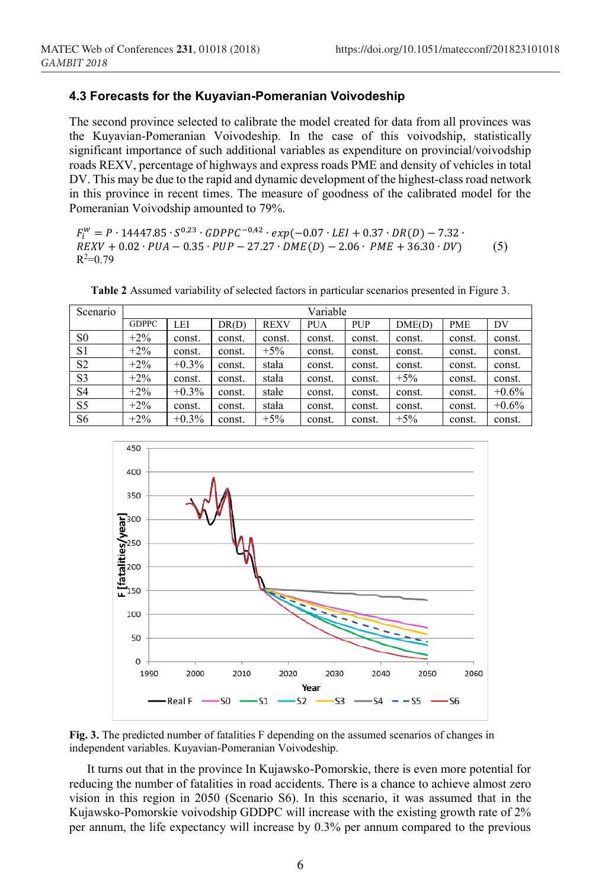#### **4.3 Forecasts for the Kuyavian-Pomeranian Voivodeship**

The second province selected to calibrate the model created for data from all provinces was the Kuyavian-Pomeranian Voivodeship. In the case of this voivodship, statistically significant importance of such additional variables as expenditure on provincial/voivodship roads REXV, percentage of highways and express roads PME and density of vehicles in total DV. This may be due to the rapid and dynamic development of the highest-class road network in this province in recent times. The measure of goodness of the calibrated model for the Pomeranian Voivodship amounted to 79%.

 $F_i^W = P \cdot 14447.85 \cdot S^{0.23} \cdot GDPPC^{-0.42} \cdot exp(-0.07 \cdot LEI + 0.37 \cdot DR(D) - 7.32 \cdot S^{0.23} \cdot E^{0.23} \cdot E^{0.23}$  $REXV + 0.02 \cdot PUA - 0.35 \cdot PUP - 27.27 \cdot DME(D) - 2.06 \cdot PME + 36.30 \cdot DV)$  $R^2=0.79$ (5)

| Scenario       | Variable     |          |        |             |            |            |        |            |         |  |  |
|----------------|--------------|----------|--------|-------------|------------|------------|--------|------------|---------|--|--|
|                | <b>GDPPC</b> | LEI      | DR(D)  | <b>REXV</b> | <b>PUA</b> | <b>PUP</b> | DME(D) | <b>PME</b> | DV      |  |  |
| S <sub>0</sub> | $+2\%$       | const.   | const. | const.      | const.     | const.     | const. | const.     | const.  |  |  |
| S <sub>1</sub> | $+2\%$       | const.   | const. | $+5\%$      | const.     | const.     | const. | const.     | const.  |  |  |
| S <sub>2</sub> | $+2\%$       | $+0.3\%$ | const. | stała       | const.     | const.     | const. | const.     | const.  |  |  |
| S <sub>3</sub> | $+2\%$       | const.   | const. | stała       | const.     | const.     | $+5\%$ | const.     | const.  |  |  |
| S4             | $+2\%$       | $+0.3\%$ | const. | stałe       | const.     | const.     | const. | const.     | $+0.6%$ |  |  |
| S <sub>5</sub> | $+2\%$       | const.   | const. | stała       | const.     | const.     | const. | const.     | $+0.6%$ |  |  |
| S6             | $+2\%$       | $+0.3%$  | const. | $+5%$       | const.     | const.     | $+5%$  | const.     | const.  |  |  |

**Table 2** Assumed variability of selected factors in particular scenarios presented in Figure 3.



**Fig. 3.** The predicted number of fatalities F depending on the assumed scenarios of changes in independent variables. Kuyavian-Pomeranian Voivodeship.

It turns out that in the province In Kujawsko-Pomorskie, there is even more potential for reducing the number of fatalities in road accidents. There is a chance to achieve almost zero vision in this region in 2050 (Scenario S6). In this scenario, it was assumed that in the Kujawsko-Pomorskie voivodship GDDPC will increase with the existing growth rate of 2% per annum, the life expectancy will increase by 0.3% per annum compared to the previous